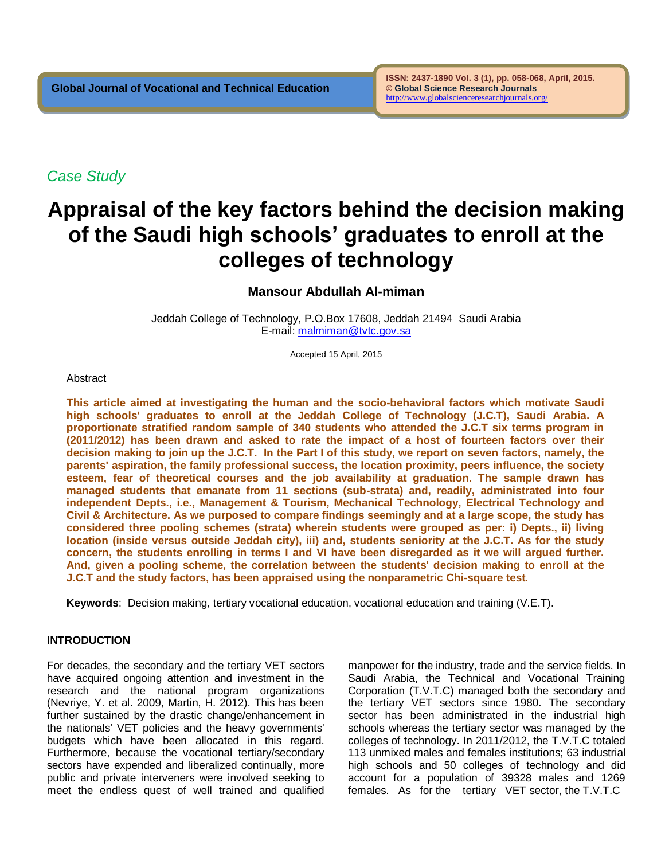*Case Study*

# **Appraisal of the key factors behind the decision making of the Saudi high schools' graduates to enroll at the colleges of technology**

# **Mansour Abdullah Al-miman**

Jeddah College of Technology, P.O.Box 17608, Jeddah 21494 Saudi Arabia E-mail: [malmiman@tvtc.gov.sa](mailto:almiman@hotmail.com) 

Accepted 15 April, 2015

## **Abstract**

**This article aimed at investigating the human and the socio-behavioral factors which motivate Saudi high schools' graduates to enroll at the Jeddah College of Technology (J.C.T), Saudi Arabia. A proportionate stratified random sample of 340 students who attended the J.C.T six terms program in (2011/2012) has been drawn and asked to rate the impact of a host of fourteen factors over their decision making to join up the J.C.T. In the Part I of this study, we report on seven factors, namely, the parents' aspiration, the family professional success, the location proximity, peers influence, the society esteem, fear of theoretical courses and the job availability at graduation. The sample drawn has managed students that emanate from 11 sections (sub-strata) and, readily, administrated into four independent Depts., i.e., Management & Tourism, Mechanical Technology, Electrical Technology and Civil & Architecture. As we purposed to compare findings seemingly and at a large scope, the study has considered three pooling schemes (strata) wherein students were grouped as per: i) Depts., ii) living location (inside versus outside Jeddah city), iii) and, students seniority at the J.C.T. As for the study concern, the students enrolling in terms I and VI have been disregarded as it we will argued further. And, given a pooling scheme, the correlation between the students' decision making to enroll at the J.C.T and the study factors, has been appraised using the nonparametric Chi-square test.** 

**Keywords**: Decision making, tertiary vocational education, vocational education and training (V.E.T).

# **INTRODUCTION**

For decades, the secondary and the tertiary VET sectors have acquired ongoing attention and investment in the research and the national program organizations (Nevriye, Y. et al. 2009, Martin, H. 2012). This has been further sustained by the drastic change/enhancement in the nationals' VET policies and the heavy governments' budgets which have been allocated in this regard. Furthermore, because the vocational tertiary/secondary sectors have expended and liberalized continually, more public and private interveners were involved seeking to meet the endless quest of well trained and qualified

manpower for the industry, trade and the service fields. In Saudi Arabia, the Technical and Vocational Training Corporation (T.V.T.C) managed both the secondary and the tertiary VET sectors since 1980. The secondary sector has been administrated in the industrial high schools whereas the tertiary sector was managed by the colleges of technology. In 2011/2012, the T.V.T.C totaled 113 unmixed males and females institutions; 63 industrial high schools and 50 colleges of technology and did account for a population of 39328 males and 1269 females. As for the tertiary VET sector, the T.V.T.C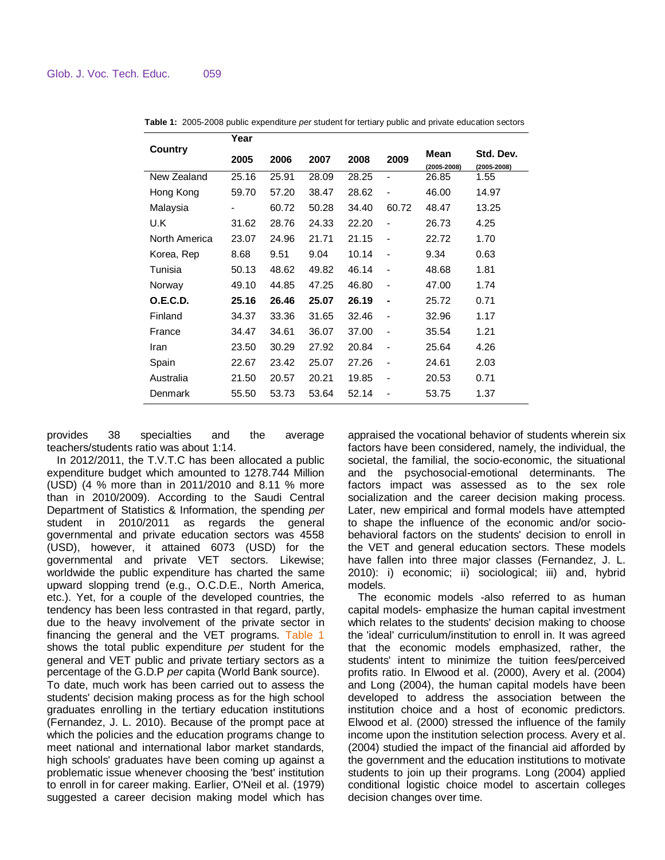|                 | Year                     |       |       |       |                              |                         |                              |
|-----------------|--------------------------|-------|-------|-------|------------------------------|-------------------------|------------------------------|
| Country         | 2005                     | 2006  | 2007  | 2008  | 2009                         | Mean<br>$(2005 - 2008)$ | Std. Dev.<br>$(2005 - 2008)$ |
| New Zealand     | 25.16                    | 25.91 | 28.09 | 28.25 |                              | 26.85                   | 1.55                         |
| Hong Kong       | 59.70                    | 57.20 | 38.47 | 28.62 |                              | 46.00                   | 14.97                        |
| Malaysia        | $\overline{\phantom{a}}$ | 60.72 | 50.28 | 34.40 | 60.72                        | 48.47                   | 13.25                        |
| U.K             | 31.62                    | 28.76 | 24.33 | 22.20 |                              | 26.73                   | 4.25                         |
| North America   | 23.07                    | 24.96 | 21.71 | 21.15 |                              | 22.72                   | 1.70                         |
| Korea, Rep      | 8.68                     | 9.51  | 9.04  | 10.14 |                              | 9.34                    | 0.63                         |
| Tunisia         | 50.13                    | 48.62 | 49.82 | 46.14 | $\qquad \qquad \blacksquare$ | 48.68                   | 1.81                         |
| Norway          | 49.10                    | 44.85 | 47.25 | 46.80 |                              | 47.00                   | 1.74                         |
| <b>O.E.C.D.</b> | 25.16                    | 26.46 | 25.07 | 26.19 | ۰                            | 25.72                   | 0.71                         |
| Finland         | 34.37                    | 33.36 | 31.65 | 32.46 | $\qquad \qquad \blacksquare$ | 32.96                   | 1.17                         |
| France          | 34.47                    | 34.61 | 36.07 | 37.00 |                              | 35.54                   | 1.21                         |
| Iran            | 23.50                    | 30.29 | 27.92 | 20.84 |                              | 25.64                   | 4.26                         |
| Spain           | 22.67                    | 23.42 | 25.07 | 27.26 | $\overline{\phantom{a}}$     | 24.61                   | 2.03                         |
| Australia       | 21.50                    | 20.57 | 20.21 | 19.85 | $\overline{\phantom{a}}$     | 20.53                   | 0.71                         |
| Denmark         | 55.50                    | 53.73 | 53.64 | 52.14 |                              | 53.75                   | 1.37                         |

**Table 1:** 2005-2008 public expenditure *per* student for tertiary public and private education sectors

provides 38 specialties and the average teachers/students ratio was about 1:14.

In 2012/2011, the T.V.T.C has been allocated a public expenditure budget which amounted to 1278.744 Million (USD) (4 % more than in 2011/2010 and 8.11 % more than in 2010/2009). According to the Saudi Central Department of Statistics & Information, the spending *per* student in 2010/2011 as regards the general governmental and private education sectors was 4558 (USD), however, it attained 6073 (USD) for the governmental and private VET sectors. Likewise; worldwide the public expenditure has charted the same upward slopping trend (e.g., O.C.D.E., North America, etc.). Yet, for a couple of the developed countries, the tendency has been less contrasted in that regard, partly, due to the heavy involvement of the private sector in financing the general and the VET programs. Table 1 shows the total public expenditure *per* student for the general and VET public and private tertiary sectors as a percentage of the G.D.P *per* capita (World Bank source). To date, much work has been carried out to assess the students' decision making process as for the high school graduates enrolling in the tertiary education institutions (Fernandez, J. L. 2010). Because of the prompt pace at which the policies and the education programs change to meet national and international labor market standards, high schools' graduates have been coming up against a problematic issue whenever choosing the 'best' institution to enroll in for career making. Earlier, O'Neil et al. (1979) suggested a career decision making model which has

appraised the vocational behavior of students wherein six factors have been considered, namely, the individual, the societal, the familial, the socio-economic, the situational and the psychosocial-emotional determinants. The factors impact was assessed as to the sex role socialization and the career decision making process. Later, new empirical and formal models have attempted to shape the influence of the economic and/or sociobehavioral factors on the students' decision to enroll in the VET and general education sectors. These models have fallen into three major classes (Fernandez, J. L. 2010): i) economic; ii) sociological; iii) and, hybrid models.

The economic models -also referred to as human capital models- emphasize the human capital investment which relates to the students' decision making to choose the 'ideal' curriculum/institution to enroll in. It was agreed that the economic models emphasized, rather, the students' intent to minimize the tuition fees/perceived profits ratio. In Elwood et al. (2000), Avery et al. (2004) and Long (2004), the human capital models have been developed to address the association between the institution choice and a host of economic predictors. Elwood et al. (2000) stressed the influence of the family income upon the institution selection process. Avery et al. (2004) studied the impact of the financial aid afforded by the government and the education institutions to motivate students to join up their programs. Long (2004) applied conditional logistic choice model to ascertain colleges decision changes over time.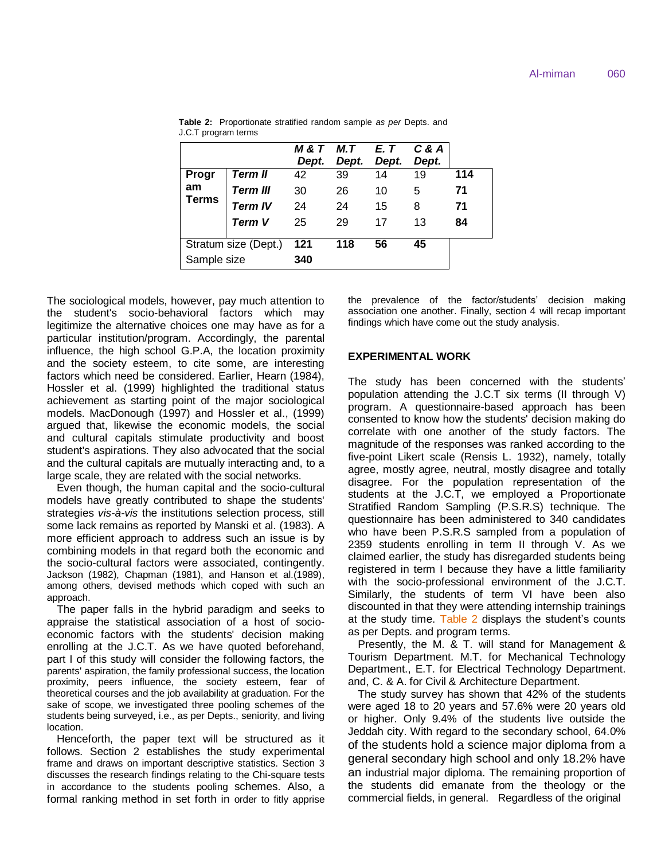|                      |                 | Dept. | M&T M.T<br>Dept. | E. T<br>Dept. | $C$ & $A$<br>Dept. |     |
|----------------------|-----------------|-------|------------------|---------------|--------------------|-----|
| Progr                | <b>Term II</b>  | 42    | 39               | 14            | 19                 | 114 |
| am<br><b>Terms</b>   | <b>Term III</b> | 30    | 26               | 10            | 5                  | 71  |
|                      | <b>Term IV</b>  | 24    | 24               | 15            | 8                  | 71  |
|                      | <b>Term V</b>   | 25    | 29               | 17            | 13                 | 84  |
| Stratum size (Dept.) |                 | 121   | 118              | 56            | 45                 |     |
| Sample size          |                 | 340   |                  |               |                    |     |

**Table 2:** Proportionate stratified random sample *as per* Depts. and J.C.T program terms

The sociological models, however, pay much attention to the student's socio-behavioral factors which may legitimize the alternative choices one may have as for a particular institution/program. Accordingly, the parental influence, the high school G.P.A, the location proximity and the society esteem, to cite some, are interesting factors which need be considered. Earlier, Hearn (1984), Hossler et al. (1999) highlighted the traditional status achievement as starting point of the major sociological models. MacDonough (1997) and Hossler et al., (1999) argued that, likewise the economic models, the social and cultural capitals stimulate productivity and boost student's aspirations. They also advocated that the social and the cultural capitals are mutually interacting and, to a large scale, they are related with the social networks.

Even though, the human capital and the socio-cultural models have greatly contributed to shape the students' strategies *vis-à-vis* the institutions selection process, still some lack remains as reported by Manski et al. (1983). A more efficient approach to address such an issue is by combining models in that regard both the economic and the socio-cultural factors were associated, contingently. Jackson (1982), Chapman (1981), and Hanson et al.(1989), among others, devised methods which coped with such an approach.

The paper falls in the hybrid paradigm and seeks to appraise the statistical association of a host of socioeconomic factors with the students' decision making enrolling at the J.C.T. As we have quoted beforehand, part I of this study will consider the following factors, the parents' aspiration, the family professional success, the location proximity, peers influence, the society esteem, fear of theoretical courses and the job availability at graduation. For the sake of scope, we investigated three pooling schemes of the students being surveyed, i.e., as per Depts., seniority, and living location.

Henceforth, the paper text will be structured as it follows. Section 2 establishes the study experimental frame and draws on important descriptive statistics. Section 3 discusses the research findings relating to the Chi-square tests in accordance to the students pooling schemes. Also, a formal ranking method in set forth in order to fitly apprise the prevalence of the factor/students' decision making association one another. Finally, section 4 will recap important findings which have come out the study analysis.

#### **EXPERIMENTAL WORK**

The study has been concerned with the students' population attending the J.C.T six terms (II through V) program. A questionnaire-based approach has been consented to know how the students' decision making do correlate with one another of the study factors. The magnitude of the responses was ranked according to the five-point Likert scale (Rensis L. 1932), namely, totally agree, mostly agree, neutral, mostly disagree and totally disagree. For the population representation of the students at the J.C.T, we employed a Proportionate Stratified Random Sampling (P.S.R.S) technique. The questionnaire has been administered to 340 candidates who have been P.S.R.S sampled from a population of 2359 students enrolling in term II through V. As we claimed earlier, the study has disregarded students being registered in term I because they have a little familiarity with the socio-professional environment of the J.C.T. Similarly, the students of term VI have been also discounted in that they were attending internship trainings at the study time. Table 2 displays the student's counts as per Depts. and program terms.

Presently, the M. & T. will stand for Management & Tourism Department. M.T. for Mechanical Technology Department., E.T. for Electrical Technology Department. and, C. & A. for Civil & Architecture Department.

The study survey has shown that 42% of the students were aged 18 to 20 years and 57.6% were 20 years old or higher. Only 9.4% of the students live outside the Jeddah city. With regard to the secondary school, 64.0% of the students hold a science major diploma from a general secondary high school and only 18.2% have an industrial major diploma. The remaining proportion of the students did emanate from the theology or the commercial fields, in general. Regardless of the original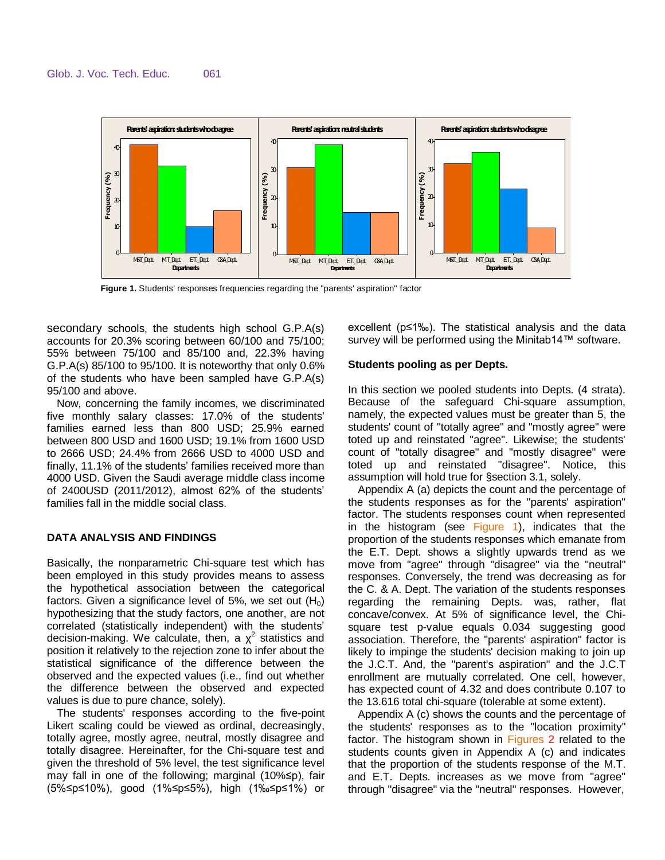

**Figure 1.** Students' responses frequencies regarding the "parents' aspiration" factor

secondary schools, the students high school G.P.A(s) accounts for 20.3% scoring between 60/100 and 75/100; 55% between 75/100 and 85/100 and, 22.3% having G.P.A(s) 85/100 to 95/100. It is noteworthy that only 0.6% of the students who have been sampled have G.P.A(s) 95/100 and above.

Now, concerning the family incomes, we discriminated five monthly salary classes: 17.0% of the students' families earned less than 800 USD; 25.9% earned between 800 USD and 1600 USD; 19.1% from 1600 USD to 2666 USD; 24.4% from 2666 USD to 4000 USD and finally, 11.1% of the students' families received more than 4000 USD. Given the Saudi average middle class income of 2400USD (2011/2012), almost 62% of the students' families fall in the middle social class.

# **DATA ANALYSIS AND FINDINGS**

Basically, the nonparametric Chi-square test which has been employed in this study provides means to assess the hypothetical association between the categorical factors. Given a significance level of 5%, we set out  $(H_0)$ hypothesizing that the study factors, one another, are not correlated (statistically independent) with the students' decision-making. We calculate, then, a  $\chi^2$  statistics and position it relatively to the rejection zone to infer about the statistical significance of the difference between the observed and the expected values (i.e., find out whether the difference between the observed and expected values is due to pure chance, solely).

The students' responses according to the five-point Likert scaling could be viewed as ordinal, decreasingly, totally agree, mostly agree, neutral, mostly disagree and totally disagree. Hereinafter, for the Chi-square test and given the threshold of 5% level, the test significance level may fall in one of the following; marginal (10%≤p), fair (5%≤p≤10%), good (1%≤p≤5%), high (1‰≤p≤1%) or excellent (p≤1‰). The statistical analysis and the data survey will be performed using the Minitab14™ software.

# **Students pooling as per Depts.**

In this section we pooled students into Depts. (4 strata). Because of the safeguard Chi-square assumption, namely, the expected values must be greater than 5, the students' count of "totally agree" and "mostly agree" were toted up and reinstated "agree". Likewise; the students' count of "totally disagree" and "mostly disagree" were toted up and reinstated "disagree". Notice, this assumption will hold true for §section 3.1, solely.

Appendix A (a) depicts the count and the percentage of the students responses as for the "parents' aspiration" factor. The students responses count when represented in the histogram (see Figure 1), indicates that the proportion of the students responses which emanate from the E.T. Dept. shows a slightly upwards trend as we move from "agree" through "disagree" via the "neutral" responses. Conversely, the trend was decreasing as for the C. & A. Dept. The variation of the students responses regarding the remaining Depts. was, rather, flat concave/convex. At 5% of significance level, the Chisquare test p-value equals 0.034 suggesting good association. Therefore, the "parents' aspiration" factor is likely to impinge the students' decision making to join up the J.C.T. And, the "parent's aspiration" and the J.C.T enrollment are mutually correlated. One cell, however, has expected count of 4.32 and does contribute 0.107 to the 13.616 total chi-square (tolerable at some extent).

Appendix A (c) shows the counts and the percentage of the students' responses as to the "location proximity" factor. The histogram shown in Figures 2 related to the students counts given in Appendix A (c) and indicates that the proportion of the students response of the M.T. and E.T. Depts. increases as we move from "agree" through "disagree" via the "neutral" responses. However,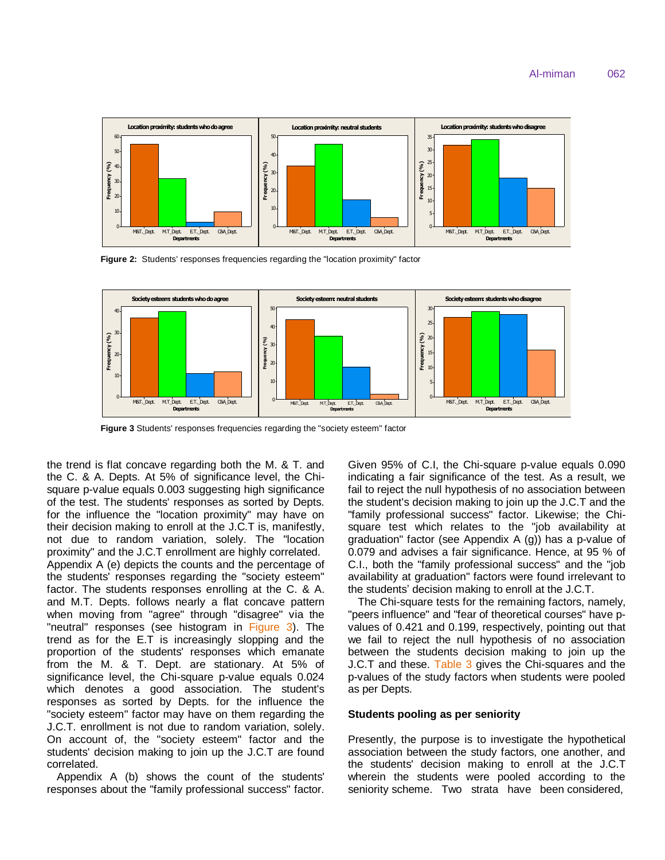

**Figure 2:** Students' responses frequencies regarding the "location proximity" factor



**Figure 3** Students' responses frequencies regarding the "society esteem" factor

the trend is flat concave regarding both the M. & T. and the C. & A. Depts. At 5% of significance level, the Chisquare p-value equals 0.003 suggesting high significance of the test. The students' responses as sorted by Depts. for the influence the "location proximity" may have on their decision making to enroll at the J.C.T is, manifestly, not due to random variation, solely. The "location proximity" and the J.C.T enrollment are highly correlated. Appendix A (e) depicts the counts and the percentage of the students' responses regarding the "society esteem" factor. The students responses enrolling at the C. & A. and M.T. Depts. follows nearly a flat concave pattern when moving from "agree" through "disagree" via the "neutral" responses (see histogram in Figure 3). The trend as for the E.T is increasingly slopping and the proportion of the students' responses which emanate from the M. & T. Dept. are stationary. At 5% of significance level, the Chi-square p-value equals 0.024 which denotes a good association. The student's responses as sorted by Depts. for the influence the "society esteem" factor may have on them regarding the J.C.T. enrollment is not due to random variation, solely. On account of, the "society esteem" factor and the students' decision making to join up the J.C.T are found correlated.

Appendix A (b) shows the count of the students' responses about the "family professional success" factor. Given 95% of C.I, the Chi-square p-value equals 0.090 indicating a fair significance of the test. As a result, we fail to reject the null hypothesis of no association between the student's decision making to join up the J.C.T and the "family professional success" factor. Likewise; the Chisquare test which relates to the "job availability at graduation" factor (see Appendix A (g)) has a p-value of 0.079 and advises a fair significance. Hence, at 95 % of C.I., both the "family professional success" and the "job availability at graduation" factors were found irrelevant to the students' decision making to enroll at the J.C.T.

The Chi-square tests for the remaining factors, namely, "peers influence" and "fear of theoretical courses" have pvalues of 0.421 and 0.199, respectively, pointing out that we fail to reject the null hypothesis of no association between the students decision making to join up the J.C.T and these. Table 3 gives the Chi-squares and the p-values of the study factors when students were pooled as per Depts.

#### **Students pooling as per seniority**

Presently, the purpose is to investigate the hypothetical association between the study factors, one another, and the students' decision making to enroll at the J.C.T wherein the students were pooled according to the seniority scheme. Two strata have been considered,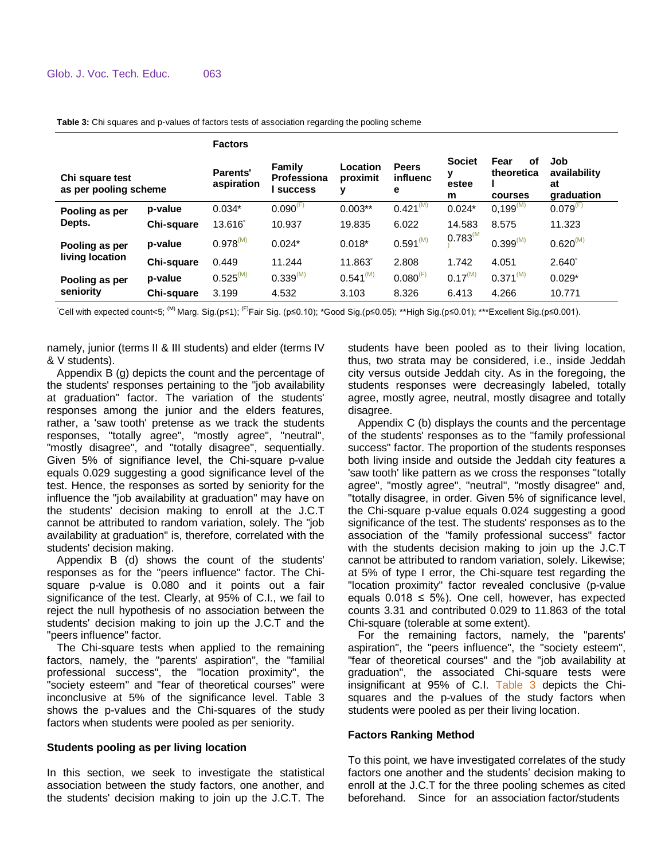|                                          |            | <b>Factors</b>         |                                         |                           |                               |                                  |                                     |                                         |
|------------------------------------------|------------|------------------------|-----------------------------------------|---------------------------|-------------------------------|----------------------------------|-------------------------------------|-----------------------------------------|
| Chi square test<br>as per pooling scheme |            | Parents'<br>aspiration | Family<br>Professiona<br><b>SUCCESS</b> | Location<br>proximit<br>у | <b>Peers</b><br>influenc<br>е | <b>Societ</b><br>у<br>estee<br>m | Fear<br>οf<br>theoretica<br>courses | Job<br>availability<br>at<br>graduation |
| Pooling as per                           | p-value    | $0.034*$               | $0.090^{(F)}$                           | $0.003**$                 | $0.421^{(M)}$                 | $0.024*$                         | $0,199^{(M)}$                       | $0.079^{(F)}$                           |
| Depts.                                   | Chi-square | 13.616°                | 10.937                                  | 19.835                    | 6.022                         | 14.583                           | 8.575                               | 11.323                                  |
| Pooling as per<br>living location        | p-value    | $0.978^{(M)}$          | $0.024*$                                | $0.018*$                  | $0.591^{(M)}$                 | $0.783^{M}$                      | $0.399^{(M)}$                       | $0.620^{(M)}$                           |
|                                          | Chi-square | 0.449                  | 11.244                                  | 11.863°                   | 2.808                         | 1.742                            | 4.051                               | $2.640^{\circ}$                         |
| Pooling as per                           | p-value    | $0.525^{(M)}$          | 0.339 <sup>(M)</sup>                    | $0.541^{(M)}$             | $0.080^{(F)}$                 | $0.17^{(M)}$                     | $0.371^{(M)}$                       | $0.029*$                                |
| seniority                                | Chi-square | 3.199                  | 4.532                                   | 3.103                     | 8.326                         | 6.413                            | 4.266                               | 10.771                                  |

**Table 3:** Chi squares and p-values of factors tests of association regarding the pooling scheme

°Cell with expected count<5; <sup>(M)</sup> Marg. Sig.(p≤1); <sup>(F)</sup>Fair Sig. (p≤0.10); \*Good Sig.(p≤0.05); \*\*High Sig.(p≤0.01); \*\*\*Excellent Sig.(p≤0.001).

namely, junior (terms II & III students) and elder (terms IV & V students).

Appendix B (g) depicts the count and the percentage of the students' responses pertaining to the "job availability at graduation" factor. The variation of the students' responses among the junior and the elders features, rather, a 'saw tooth' pretense as we track the students responses, "totally agree", "mostly agree", "neutral", "mostly disagree", and "totally disagree", sequentially. Given 5% of signifiance level, the Chi-square p-value equals 0.029 suggesting a good significance level of the test. Hence, the responses as sorted by seniority for the influence the "job availability at graduation" may have on the students' decision making to enroll at the J.C.T cannot be attributed to random variation, solely. The "job availability at graduation" is, therefore, correlated with the students' decision making.

Appendix B (d) shows the count of the students' responses as for the "peers influence" factor. The Chisquare p-value is 0.080 and it points out a fair significance of the test. Clearly, at 95% of C.I., we fail to reject the null hypothesis of no association between the students' decision making to join up the J.C.T and the "peers influence" factor.

The Chi-square tests when applied to the remaining factors, namely, the "parents' aspiration", the "familial professional success", the "location proximity", the "society esteem" and "fear of theoretical courses" were inconclusive at 5% of the significance level. Table 3 shows the p-values and the Chi-squares of the study factors when students were pooled as per seniority.

## **Students pooling as per living location**

In this section, we seek to investigate the statistical association between the study factors, one another, and the students' decision making to join up the J.C.T. The

students have been pooled as to their living location, thus, two strata may be considered, i.e., inside Jeddah city versus outside Jeddah city. As in the foregoing, the students responses were decreasingly labeled, totally agree, mostly agree, neutral, mostly disagree and totally disagree.

Appendix C (b) displays the counts and the percentage of the students' responses as to the "family professional success" factor. The proportion of the students responses both living inside and outside the Jeddah city features a 'saw tooth' like pattern as we cross the responses "totally agree", "mostly agree", "neutral", "mostly disagree" and, "totally disagree, in order. Given 5% of significance level, the Chi-square p-value equals 0.024 suggesting a good significance of the test. The students' responses as to the association of the "family professional success" factor with the students decision making to join up the J.C.T cannot be attributed to random variation, solely. Likewise; at 5% of type I error, the Chi-square test regarding the "location proximity" factor revealed conclusive (p-value equals  $0.018 \le 5\%$ ). One cell, however, has expected counts 3.31 and contributed 0.029 to 11.863 of the total Chi-square (tolerable at some extent).

For the remaining factors, namely, the "parents' aspiration", the "peers influence", the "society esteem", "fear of theoretical courses" and the "job availability at graduation", the associated Chi-square tests were insignificant at 95% of C.I. Table 3 depicts the Chisquares and the p-values of the study factors when students were pooled as per their living location.

## **Factors Ranking Method**

To this point, we have investigated correlates of the study factors one another and the students' decision making to enroll at the J.C.T for the three pooling schemes as cited beforehand. Since for an association factor/students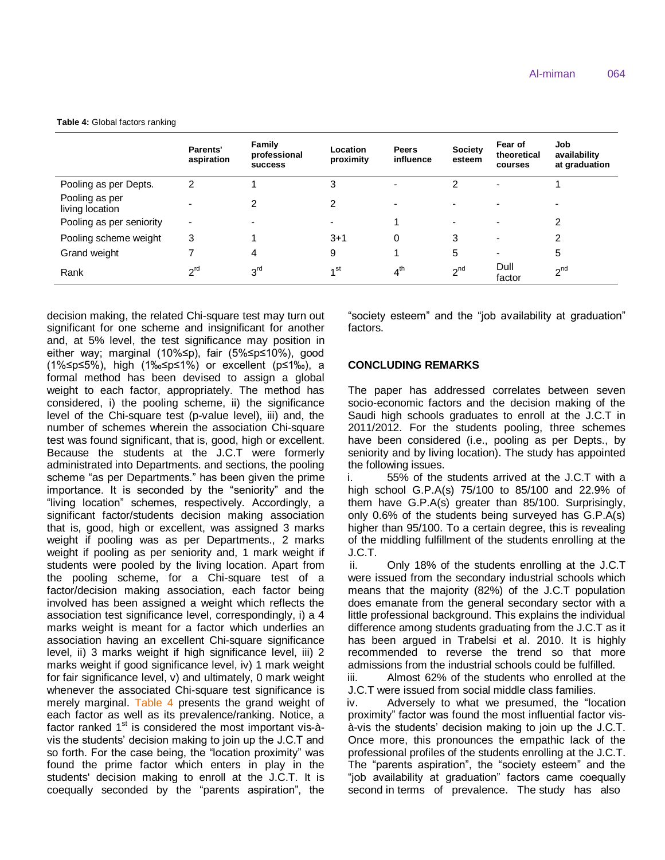**Table 4:** Global factors ranking

|                                   | <b>Parents'</b><br>aspiration | Family<br>professional<br><b>SUCCESS</b> | Location<br>proximity | <b>Peers</b><br>influence | <b>Society</b><br>esteem | Fear of<br>theoretical<br>courses | Job<br>availability<br>at graduation |
|-----------------------------------|-------------------------------|------------------------------------------|-----------------------|---------------------------|--------------------------|-----------------------------------|--------------------------------------|
| Pooling as per Depts.             | 2                             |                                          | 3                     |                           | 2                        |                                   |                                      |
| Pooling as per<br>living location |                               | 2                                        | 2                     |                           |                          |                                   |                                      |
| Pooling as per seniority          | -                             |                                          |                       |                           |                          |                                   | 2                                    |
| Pooling scheme weight             | 3                             |                                          | $3 + 1$               | 0                         | 3                        | -                                 | 2                                    |
| Grand weight                      |                               | 4                                        | 9                     |                           | 5                        | $\overline{\phantom{a}}$          | 5                                    |
| Rank                              | 2 <sup>rd</sup>               | 3 <sup>rd</sup>                          | 4 <sup>st</sup>       | 4 <sup>th</sup>           | 2 <sub>nd</sub>          | Dull<br>factor                    | 2 <sub>nd</sub>                      |

decision making, the related Chi-square test may turn out significant for one scheme and insignificant for another and, at 5% level, the test significance may position in either way; marginal (10%≤p), fair (5%≤p≤10%), good (1%≤p≤5%), high (1‰≤p≤1%) or excellent (p≤1‰), a formal method has been devised to assign a global weight to each factor, appropriately. The method has considered, i) the pooling scheme, ii) the significance level of the Chi-square test (p-value level), iii) and, the number of schemes wherein the association Chi-square test was found significant, that is, good, high or excellent. Because the students at the J.C.T were formerly administrated into Departments. and sections, the pooling scheme "as per Departments." has been given the prime importance. It is seconded by the "seniority" and the "living location" schemes, respectively. Accordingly, a significant factor/students decision making association that is, good, high or excellent, was assigned 3 marks weight if pooling was as per Departments., 2 marks weight if pooling as per seniority and, 1 mark weight if students were pooled by the living location. Apart from the pooling scheme, for a Chi-square test of a factor/decision making association, each factor being involved has been assigned a weight which reflects the association test significance level, correspondingly, i) a 4 marks weight is meant for a factor which underlies an association having an excellent Chi-square significance level, ii) 3 marks weight if high significance level, iii) 2 marks weight if good significance level, iv) 1 mark weight for fair significance level, v) and ultimately, 0 mark weight whenever the associated Chi-square test significance is merely marginal. Table 4 presents the grand weight of each factor as well as its prevalence/ranking. Notice, a factor ranked  $1<sup>st</sup>$  is considered the most important vis-àvis the students' decision making to join up the J.C.T and so forth. For the case being, the "location proximity" was found the prime factor which enters in play in the students' decision making to enroll at the J.C.T. It is coequally seconded by the "parents aspiration", the "society esteem" and the "job availability at graduation" factors.

## **CONCLUDING REMARKS**

The paper has addressed correlates between seven socio-economic factors and the decision making of the Saudi high schools graduates to enroll at the J.C.T in 2011/2012. For the students pooling, three schemes have been considered (i.e., pooling as per Depts., by seniority and by living location). The study has appointed the following issues.

i. 55% of the students arrived at the J.C.T with a high school G.P.A(s) 75/100 to 85/100 and 22.9% of them have G.P.A(s) greater than 85/100. Surprisingly, only 0.6% of the students being surveyed has G.P.A(s) higher than 95/100. To a certain degree, this is revealing of the middling fulfillment of the students enrolling at the J.C.T.

ii. Only 18% of the students enrolling at the J.C.T were issued from the secondary industrial schools which means that the majority (82%) of the J.C.T population does emanate from the general secondary sector with a little professional background. This explains the individual difference among students graduating from the J.C.T as it has been argued in Trabelsi et al. 2010. It is highly recommended to reverse the trend so that more admissions from the industrial schools could be fulfilled.

iii. Almost 62% of the students who enrolled at the J.C.T were issued from social middle class families.

iv. Adversely to what we presumed, the "location proximity" factor was found the most influential factor visà-vis the students' decision making to join up the J.C.T. Once more, this pronounces the empathic lack of the professional profiles of the students enrolling at the J.C.T. The "parents aspiration", the "society esteem" and the "job availability at graduation" factors came coequally second in terms of prevalence. The study has also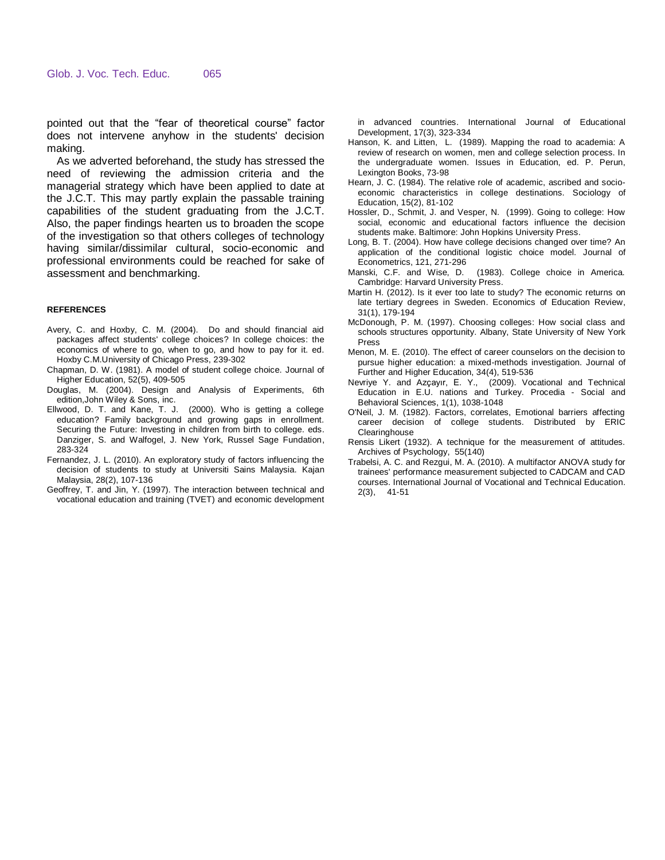pointed out that the "fear of theoretical course" factor does not intervene anyhow in the students' decision making.

As we adverted beforehand, the study has stressed the need of reviewing the admission criteria and the managerial strategy which have been applied to date at the J.C.T. This may partly explain the passable training capabilities of the student graduating from the J.C.T. Also, the paper findings hearten us to broaden the scope of the investigation so that others colleges of technology having similar/dissimilar cultural, socio-economic and professional environments could be reached for sake of assessment and benchmarking.

#### **REFERENCES**

- Avery, C. and Hoxby, C. M. (2004). Do and should financial aid packages affect students' college choices? In college choices: the economics of where to go, when to go, and how to pay for it. ed. Hoxby C.M.University of Chicago Press, 239-302
- Chapman, D. W. (1981). A model of student college choice. Journal of Higher Education, 52(5), 409-505
- Douglas, M. (2004). Design and Analysis of Experiments, 6th edition,John Wiley & Sons, inc.
- Ellwood, D. T. and Kane, T. J. (2000). Who is getting a college education? Family background and growing gaps in enrollment. Securing the Future: Investing in children from birth to college. eds. Danziger, S. and Walfogel, J. New York, Russel Sage Fundation, 283-324
- Fernandez, J. L. (2010). An exploratory study of factors influencing the decision of students to study at Universiti Sains Malaysia. Kajan Malaysia, 28(2), 107-136
- Geoffrey, T. and Jin, Y. (1997). [The interaction between technical and](http://www.sciencedirect.com/science/article/pii/S0738059396000727)  [vocational education and training \(TVET\) and economic development](http://www.sciencedirect.com/science/article/pii/S0738059396000727)

[in advanced countries.](http://www.sciencedirect.com/science/article/pii/S0738059396000727) International Journal of Educational Development, 17(3), 323-334

- Hanson, K. and Litten, L. (1989). Mapping the road to academia: A review of research on women, men and college selection process. In the undergraduate women. Issues in Education, ed. P. Perun, Lexington Books, 73-98
- Hearn, J. C. (1984). The relative role of academic, ascribed and socioeconomic characteristics in college destinations. Sociology of Education, 15(2), 81-102
- Hossler, D., Schmit, J. and Vesper, N. (1999). Going to college: How social, economic and educational factors influence the decision students make. Baltimore: John Hopkins University Press.
- Long, B. T. (2004). How have college decisions changed over time? An application of the conditional logistic choice model. Journal of Econometrics, 121, 271-296
- Manski, C.F. and Wise, D. (1983). College choice in America. Cambridge: Harvard University Press.
- Martin H. (2012). [Is it ever too late to study? The economic returns on](http://www.sciencedirect.com/science/article/pii/S0272775711001737)  [late tertiary degrees in Sweden.](http://www.sciencedirect.com/science/article/pii/S0272775711001737) Economics of Education Review, 31(1), 179-194
- McDonough, P. M. (1997). Choosing colleges: How social class and schools structures opportunity. Albany, State University of New York Press
- Menon, M. E. (2010). The effect of career counselors on the decision to pursue higher education: a mixed-methods investigation. Journal of Further and Higher Education, 34(4), 519-536
- Nevriye Y. and Azçayır, E. Y., (2009). Vocational and Technical Education in E.U. nations and Turkey. Procedia - Social and Behavioral Sciences, 1(1), 1038-1048
- O'Neil, J. M. (1982). Factors, correlates, Emotional barriers affecting career decision of college students. Distributed by ERIC **Clearinghouse**
- Rensis Likert (1932). A technique for the measurement of attitudes. Archives of Psychology, 55(140)
- Trabelsi, A. C. and Rezgui, M. A. (2010). A multifactor ANOVA study for trainees' performance measurement subjected to CADCAM and CAD courses. International Journal of Vocational and Technical Education. 2(3), 41-51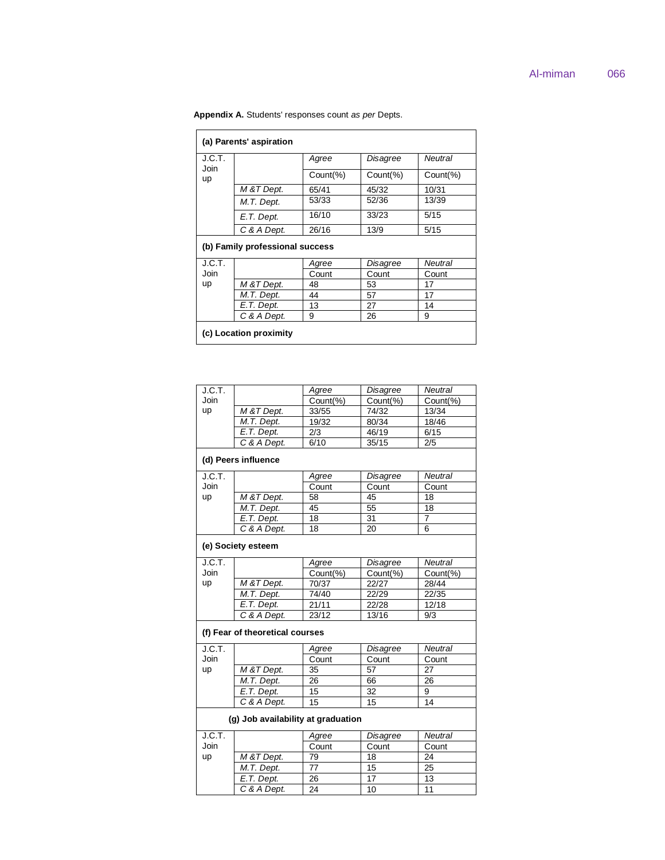| (a) Parents' aspiration |                                 |              |          |              |  |  |  |  |
|-------------------------|---------------------------------|--------------|----------|--------------|--|--|--|--|
| J.C.T.<br>Join          |                                 | Agree        | Disagree | Neutral      |  |  |  |  |
| up                      |                                 | $Count(\% )$ | Count(%) | $Count(\% )$ |  |  |  |  |
|                         | M & T Dept.                     | 65/41        | 45/32    | 10/31        |  |  |  |  |
|                         | M.T. Dept.                      | 53/33        | 52/36    | 13/39        |  |  |  |  |
|                         | E.T. Dept.                      | 16/10        | 33/23    | 5/15         |  |  |  |  |
|                         | C & A Dept.                     | 26/16        | 13/9     | 5/15         |  |  |  |  |
|                         | (b) Family professional success |              |          |              |  |  |  |  |
| J.C.T.                  |                                 | Agree        | Disagree | Neutral      |  |  |  |  |
| Join                    |                                 | Count        | Count    | Count        |  |  |  |  |
| up                      | M &T Dept.                      | 48           | 53       | 17           |  |  |  |  |
|                         | M.T. Dept.                      | 44           | 57       | 17           |  |  |  |  |
|                         | E.T. Dept.                      | 13           | 27       | 14           |  |  |  |  |
|                         | C & A Dept.                     | 9            | 26       | 9            |  |  |  |  |
|                         | (c) Location proximity          |              |          |              |  |  |  |  |

# **Appendix A.** Students' responses count *as per* Depts.

| J.C.T. |                                    | Agree    | Disagree        | <b>Neutral</b> |  |  |  |  |
|--------|------------------------------------|----------|-----------------|----------------|--|--|--|--|
| Join   |                                    | Count(%) | Count(%)        | Count(%)       |  |  |  |  |
| up     | M & T Dept.                        | 33/55    | 74/32           | 13/34          |  |  |  |  |
|        | M.T. Dept.                         | 19/32    | 80/34           | 18/46          |  |  |  |  |
|        | E.T. Dept.                         | 2/3      | 46/19           | 6/15           |  |  |  |  |
|        | C & A Dept.                        | 6/10     | 35/15           | 2/5            |  |  |  |  |
|        | (d) Peers influence                |          |                 |                |  |  |  |  |
| J.C.T. |                                    | Agree    | Disagree        | <b>Neutral</b> |  |  |  |  |
| Join   |                                    | Count    | Count           | Count          |  |  |  |  |
| up     | M & T Dept.                        | 58       | 45              | 18             |  |  |  |  |
|        | M.T. Dept.                         | 45       | 55              | 18             |  |  |  |  |
|        | E.T. Dept.                         | 18       | $\overline{31}$ | $\overline{7}$ |  |  |  |  |
|        | C & A Dept.                        | 18       | 20              | 6              |  |  |  |  |
|        | (e) Society esteem                 |          |                 |                |  |  |  |  |
| J.C.T. |                                    | Agree    | Disagree        | <b>Neutral</b> |  |  |  |  |
| Join   |                                    | Count(%) | Count(%)        | Count(%)       |  |  |  |  |
| up     | M & T Dept.                        | 70/37    | 22/27           | 28/44          |  |  |  |  |
|        | M.T. Dept.                         | 74/40    | 22/29           | 22/35          |  |  |  |  |
|        | E.T. Dept.                         | 21/11    | 22/28           | 12/18          |  |  |  |  |
|        | C & A Dept.                        | 23/12    | 13/16           | 9/3            |  |  |  |  |
|        | (f) Fear of theoretical courses    |          |                 |                |  |  |  |  |
| J.C.T. |                                    | Agree    | Disagree        | <b>Neutral</b> |  |  |  |  |
| Join   |                                    | Count    | Count           | Count          |  |  |  |  |
| up     | M & T Dept.                        | 35       | 57              | 27             |  |  |  |  |
|        | M.T. Dept.                         | 26       | 66              | 26             |  |  |  |  |
|        | E.T. Dept.                         | 15       | 32              | 9              |  |  |  |  |
|        | C & A Dept.                        | 15       | 15              | 14             |  |  |  |  |
|        | (q) Job availability at graduation |          |                 |                |  |  |  |  |
| J.C.T. |                                    | Agree    | Disagree        | <b>Neutral</b> |  |  |  |  |
| Join   |                                    | Count    | Count           | Count          |  |  |  |  |
| up     | M & T Dept.                        | 79       | 18              | 24             |  |  |  |  |
|        | M.T. Dept.                         | 77       | 15              | 25             |  |  |  |  |
|        |                                    |          |                 |                |  |  |  |  |
|        | E.T. Dept.                         | 26       | $\overline{17}$ | 13             |  |  |  |  |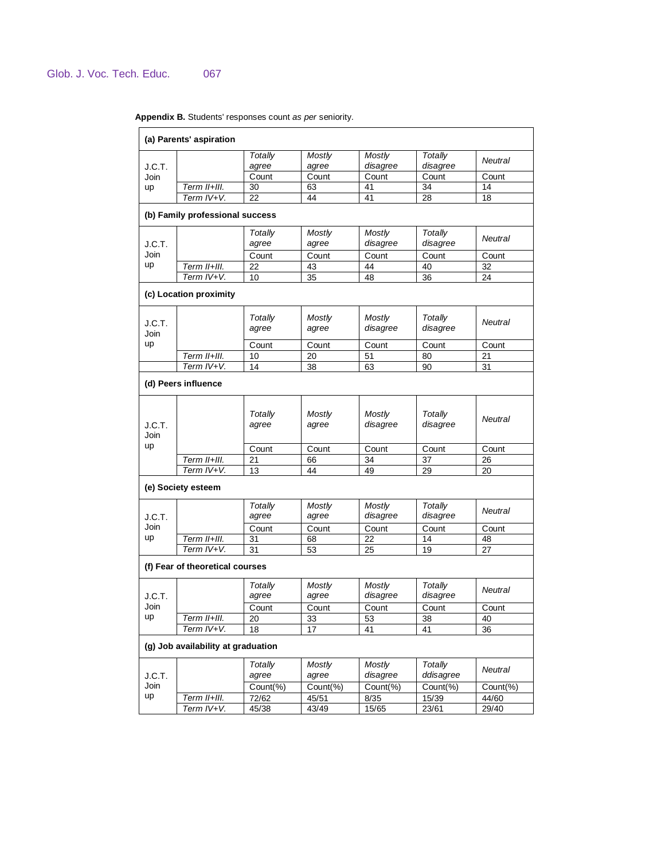|                | (a) Parents' aspiration            |                         |                        |                           |                            |                |
|----------------|------------------------------------|-------------------------|------------------------|---------------------------|----------------------------|----------------|
| J.C.T.         |                                    | <b>Totally</b><br>agree | <b>Mostly</b><br>agree | <b>Mostly</b><br>disagree | <b>Totally</b><br>disagree | <b>Neutral</b> |
| Join           |                                    | Count                   | Count                  | Count                     | Count                      | Count          |
| <b>up</b>      | Term II+III.                       | 30                      | 63                     | 41                        | 34                         | 14             |
|                | Term IV+V.                         | 22                      | 44                     | 41                        | 28                         | 18             |
|                | (b) Family professional success    |                         |                        |                           |                            |                |
| J.C.T.         |                                    | Totally<br>agree        | Mostly<br>agree        | Mostly<br>disagree        | Totally<br>disagree        | <b>Neutral</b> |
| Join           |                                    | Count                   | Count                  | Count                     | Count                      | Count          |
| up             | Term II+III.                       | 22                      | 43                     | 44                        | 40                         | 32             |
|                | Term IV+V.                         | 10                      | 35                     | 48                        | 36                         | 24             |
|                | (c) Location proximity             |                         |                        |                           |                            |                |
| J.C.T.<br>Join |                                    | Totally<br>agree        | Mostly<br>agree        | Mostly<br>disagree        | <b>Totally</b><br>disagree | Neutral        |
| up             |                                    | Count                   | Count                  | Count                     | Count                      | Count          |
|                | Term II+III.                       | 10                      | 20                     | 51                        | 80                         | 21             |
|                | Term $\overline{IV+V}$ .           | 14                      | 38                     | 63                        | 90                         | 31             |
|                | (d) Peers influence                |                         |                        |                           |                            |                |
| J.C.T.<br>Join |                                    | Totally<br>agree        | <b>Mostly</b><br>agree | Mostly<br>disagree        | Totally<br>disagree        | Neutral        |
| up             |                                    | Count                   | Count                  | Count                     | Count                      | Count          |
|                | Term II+III.                       | 21                      | 66                     | 34                        | 37                         | 26             |
|                | Term IV+V.                         | 13                      | 44                     | 49                        | 29                         | 20             |
|                | (e) Society esteem                 |                         |                        |                           |                            |                |
| J.C.T.         |                                    | Totally<br>agree        | <b>Mostly</b><br>agree | <b>Mostly</b><br>disagree | <b>Totally</b><br>disagree | <b>Neutral</b> |
| Join           |                                    | Count                   | Count                  | Count                     | Count                      | Count          |
| up             | Term II+III.                       | 31                      | 68                     | 22                        | 14                         | 48             |
|                | Term IV+V.                         | 31                      | 53                     | 25                        | 19                         | 27             |
|                | (f) Fear of theoretical courses    |                         |                        |                           |                            |                |
| J.C.T.         |                                    | Totally<br>agree        | Mostly<br>agree        | <b>Mostly</b><br>disagree | <b>Totally</b><br>disagree | Neutral        |
| Join           |                                    | Count                   | Count                  | Count                     | Count                      | Count          |
| up             | Term II+III.                       | 20                      | 33                     | 53                        | 38                         | 40             |
|                | Term IV+V.                         | 18                      | 17                     | 41                        | 41                         | 36             |
|                | (g) Job availability at graduation |                         |                        |                           |                            |                |
| J.C.T.         |                                    | Totally<br>agree        | <b>Mostly</b><br>agree | <b>Mostly</b><br>disagree | Totally<br>ddisagree       | Neutral        |
| Join           |                                    | Count(%)                | Count(%)               | Count(%)                  | Count(%)                   | Count(%)       |
| up             | Term II+III.                       | 72/62                   | 45/51                  | 8/35                      | 15/39                      | 44/60          |
|                | Term IV+V.                         | 45/38                   | 43/49                  | 15/65                     | 23/61                      | 29/40          |
|                |                                    |                         |                        |                           |                            |                |

**Appendix B.** Students' responses count *as per* seniority.